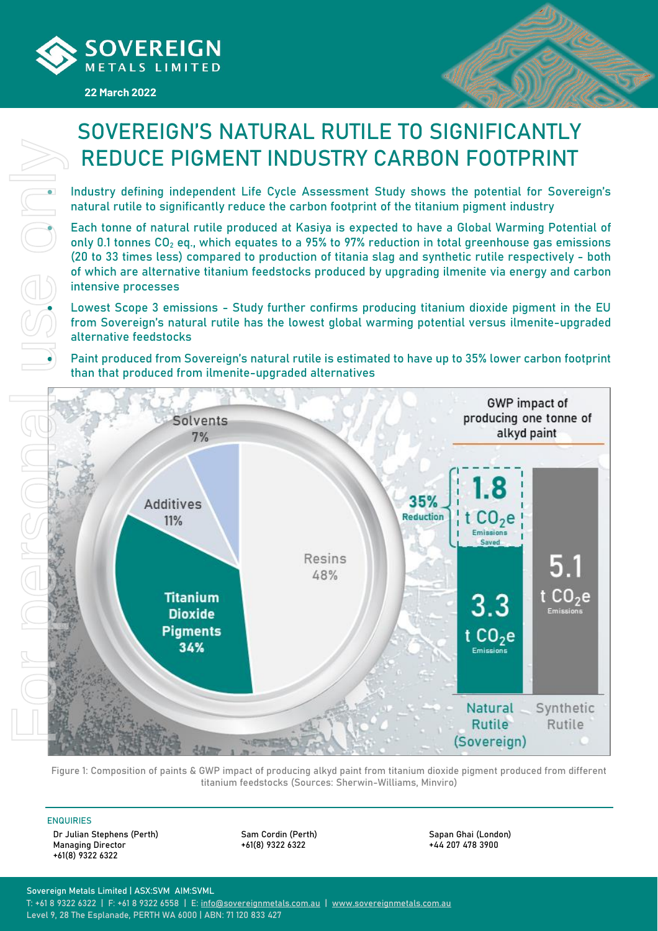

#### **22 March 2022**



# SOVEREIGN'S NATURAL RUTILE TO SIGNIFICANTLY REDUCE PIGMENT INDUSTRY CARBON FOOTPRINT

• Industry defining independent Life Cycle Assessment Study shows the potential for Sovereign's natural rutile to significantly reduce the carbon footprint of the titanium pigment industry

• Each tonne of natural rutile produced at Kasiya is expected to have a Global Warming Potential of only 0.1 tonnes  $CO<sub>2</sub>$  eq., which equates to a 95% to 97% reduction in total greenhouse gas emissions (20 to 33 times less) compared to production of titania slag and synthetic rutile respectively - both of which are alternative titanium feedstocks produced by upgrading ilmenite via energy and carbon intensive processes

• Lowest Scope 3 emissions - Study further confirms producing titanium dioxide pigment in the EU from Sovereign's natural rutile has the lowest global warming potential versus ilmenite-upgraded alternative feedstocks

• Paint produced from Sovereign's natural rutile is estimated to have up to 35% lower carbon footprint than that produced from ilmenite-upgraded alternatives



Figure 1: Composition of paints & GWP impact of producing alkyd paint from titanium dioxide pigment produced from different titanium feedstocks (Sources: Sherwin-Williams, Minviro)

#### ENQUIRIES

Dr Julian Stephens (Perth) Managing Director +61(8) 9322 6322

Sam Cordin (Perth) +61(8) 9322 6322

Sapan Ghai (London) +44 207 478 3900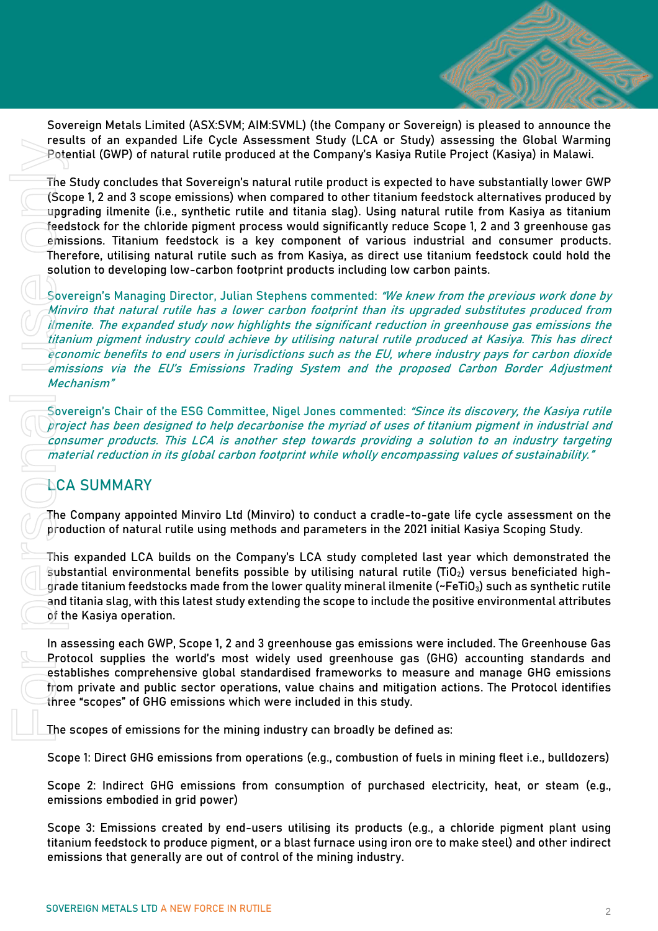Sovereign Metals Limited (ASX:SVM; AIM:SVML) (the Company or Sovereign) is pleased to announce the results of an expanded Life Cycle Assessment Study (LCA or Study) assessing the Global Warming Potential (GWP) of natural rutile produced at the Company's Kasiya Rutile Project (Kasiya) in Malawi.

The Study concludes that Sovereign's natural rutile product is expected to have substantially lower GWP (Scope 1, 2 and 3 scope emissions) when compared to other titanium feedstock alternatives produced by upgrading ilmenite (i.e., synthetic rutile and titania slag). Using natural rutile from Kasiya as titanium feedstock for the chloride pigment process would significantly reduce Scope 1, 2 and 3 greenhouse gas emissions. Titanium feedstock is a key component of various industrial and consumer products. Therefore, utilising natural rutile such as from Kasiya, as direct use titanium feedstock could hold the solution to developing low-carbon footprint products including low carbon paints. Feature of any expendent to experience the experimental to the restance of the company is fossiy<br>The Study concludes that Sovereigns natural ruttle product is expressions) when compared to the minital use upgrading limiti

Sovereign's Managing Director, Julian Stephens commented: "We knew from the previous work done by Minviro that natural rutile has a lower carbon footprint than its upgraded substitutes produced from ilmenite. The expanded study now highlights the significant reduction in greenhouse gas emissions the titanium pigment industry could achieve by utilising natural rutile produced at Kasiya. This has direct economic benefits to end users in jurisdictions such as the EU, where industry pays for carbon dioxide emissions via the EU's Emissions Trading System and the proposed Carbon Border Adjustment Mechanism"

Sovereign's Chair of the ESG Committee, Nigel Jones commented: "Since its discovery, the Kasiya rutile project has been designed to help decarbonise the myriad of uses of titanium pigment in industrial and consumer products. This LCA is another step towards providing a solution to an industry targeting material reduction in its global carbon footprint while wholly encompassing values of sustainability."

# **LCA SUMMARY**

The Company appointed Minviro Ltd (Minviro) to conduct a cradle-to-gate life cycle assessment on the production of natural rutile using methods and parameters in the 2021 initial Kasiya Scoping Study.

This expanded LCA builds on the Company's LCA study completed last year which demonstrated the substantial environmental benefits possible by utilising natural rutile (TiO<sub>2</sub>) versus beneficiated highgrade titanium feedstocks made from the lower quality mineral ilmenite (~FeTiO $_3$ ) such as synthetic rutile and titania slag, with this latest study extending the scope to include the positive environmental attributes of the Kasiya operation.

In assessing each GWP, Scope 1, 2 and 3 greenhouse gas emissions were included. The Greenhouse Gas Protocol supplies the world's most widely used greenhouse gas (GHG) accounting standards and establishes comprehensive global standardised frameworks to measure and manage GHG emissions from private and public sector operations, value chains and mitigation actions. The Protocol identifies three "scopes" of GHG emissions which were included in this study.

The scopes of emissions for the mining industry can broadly be defined as:

Scope 1: Direct GHG emissions from operations (e.g., combustion of fuels in mining fleet i.e., bulldozers)

Scope 2: Indirect GHG emissions from consumption of purchased electricity, heat, or steam (e.g., emissions embodied in grid power)

Scope 3: Emissions created by end-users utilising its products (e.g., a chloride pigment plant using titanium feedstock to produce pigment, or a blast furnace using iron ore to make steel) and other indirect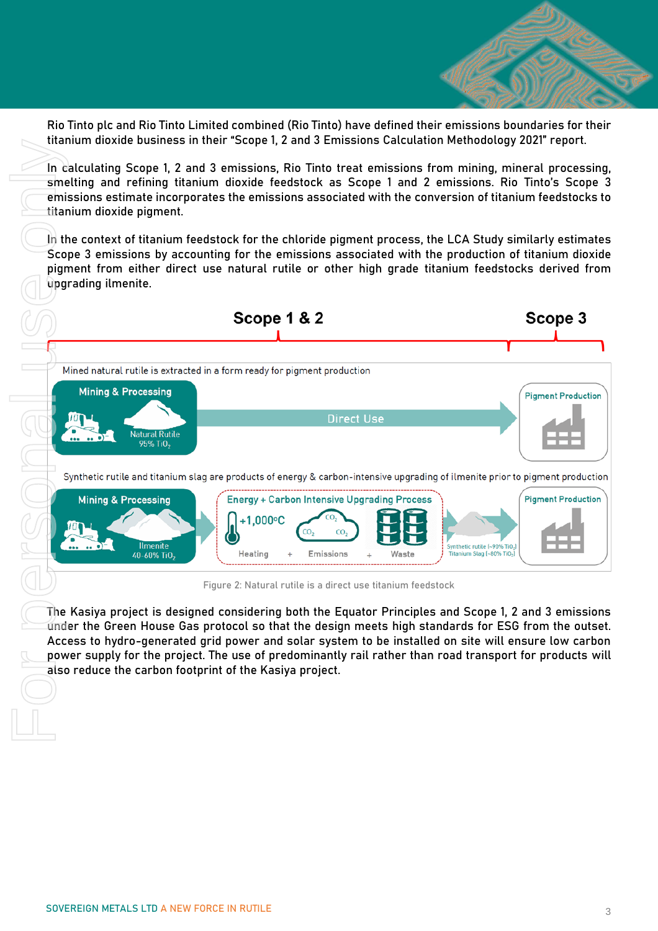

Rio Tinto plc and Rio Tinto Limited combined (Rio Tinto) have defined their emissions boundaries for their titanium dioxide business in their "Scope 1, 2 and 3 Emissions Calculation Methodology 2021" report.

In calculating Scope 1, 2 and 3 emissions, Rio Tinto treat emissions from mining, mineral processing, smelting and refining titanium dioxide feedstock as Scope 1 and 2 emissions. Rio Tinto's Scope 3 emissions estimate incorporates the emissions associated with the conversion of titanium feedstocks to titanium dioxide pigment.

In the context of titanium feedstock for the chloride pigment process, the LCA Study similarly estimates Scope 3 emissions by accounting for the emissions associated with the production of titanium dioxide pigment from either direct use natural rutile or other high grade titanium feedstocks derived from upgrading ilmenite.



Figure 2: Natural rutile is a direct use titanium feedstock

The Kasiya project is designed considering both the Equator Principles and Scope 1, 2 and 3 emissions under the Green House Gas protocol so that the design meets high standards for ESG from the outset. Access to hydro-generated grid power and solar system to be installed on site will ensure low carbon power supply for the project. The use of predominantly rail rather than road transport for products will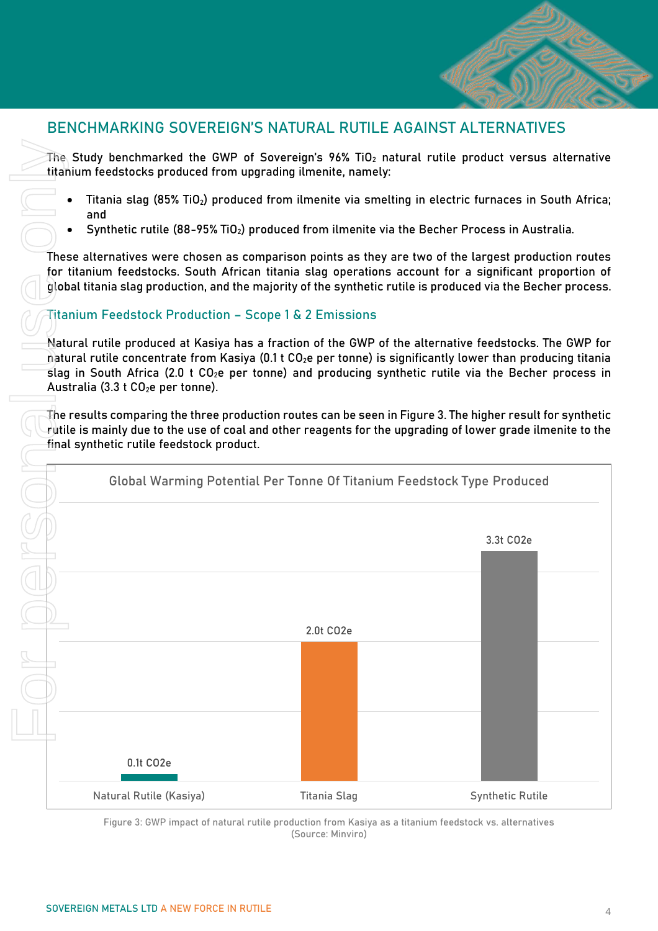# BENCHMARKING SOVEREIGN'S NATURAL RUTILE AGAINST ALTERNATIVES

The Study benchmarked the GWP of Sovereign's 96% TiO $_2$  natural rutile product versus alternative titanium feedstocks produced from upgrading ilmenite, namely:

- Titania slag (85% TiO<sub>2</sub>) produced from ilmenite via smelting in electric furnaces in South Africa; and
- Synthetic rutile (88-95% TiO<sub>2</sub>) produced from ilmenite via the Becher Process in Australia.

These alternatives were chosen as comparison points as they are two of the largest production routes for titanium feedstocks. South African titania slag operations account for a significant proportion of global titania slag production, and the majority of the synthetic rutile is produced via the Becher process.

### Titanium Feedstock Production – Scope 1 & 2 Emissions

Natural rutile produced at Kasiya has a fraction of the GWP of the alternative feedstocks. The GWP for natural rutile concentrate from Kasiya (0.1 t CO<sub>2</sub>e per tonne) is significantly lower than producing titania slag in South Africa (2.0 t  $CO<sub>2</sub>e$  per tonne) and producing synthetic rutile via the Becher process in Australia (3.3  $t$  CO<sub>2</sub>e per tonne).

The results comparing the three production routes can be seen in Figure 3. The higher result for synthetic rutile is mainly due to the use of coal and other reagents for the upgrading of lower grade ilmenite to the final synthetic rutile feedstock product.



Figure 3: GWP impact of natural rutile production from Kasiya as a titanium feedstock vs. alternatives (Source: Minviro)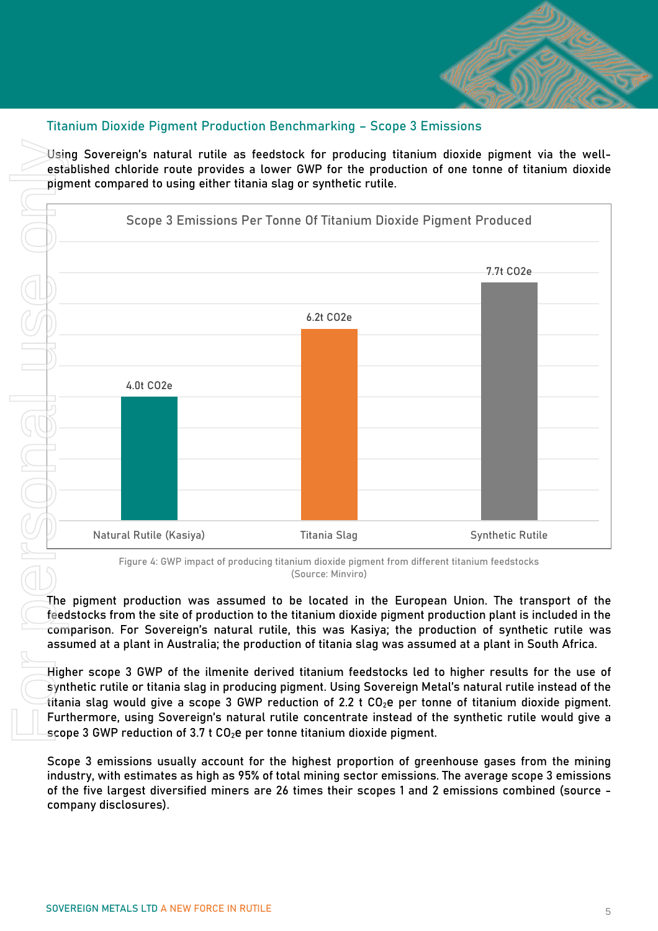

#### Titanium Dioxide Pigment Production Benchmarking – Scope 3 Emissions

Using Sovereign's natural rutile as feedstock for producing titanium dioxide pigment via the wellestablished chloride route provides a lower GWP for the production of one tonne of titanium dioxide pigment compared to using either titania slag or synthetic rutile.



Figure 4: GWP impact of producing titanium dioxide pigment from different titanium feedstocks (Source: Minviro)

The pigment production was assumed to be located in the European Union. The transport of the feedstocks from the site of production to the titanium dioxide pigment production plant is included in the comparison. For Sovereign's natural rutile, this was Kasiya; the production of synthetic rutile was assumed at a plant in Australia; the production of titania slag was assumed at a plant in South Africa.

Higher scope 3 GWP of the ilmenite derived titanium feedstocks led to higher results for the use of synthetic rutile or titania slag in producing pigment. Using Sovereign Metal's natural rutile instead of the titania slag would give a scope 3 GWP reduction of 2.2 t CO2e per tonne of titanium dioxide pigment. Furthermore, using Sovereign's natural rutile concentrate instead of the synthetic rutile would give a scope 3 GWP reduction of 3.7 t  $CO<sub>2</sub>e$  per tonne titanium dioxide pigment.

Scope 3 emissions usually account for the highest proportion of greenhouse gases from the mining industry, with estimates as high as 95% of total mining sector emissions. The average scope 3 emissions of the five largest diversified miners are 26 times their scopes 1 and 2 emissions combined (source company disclosures).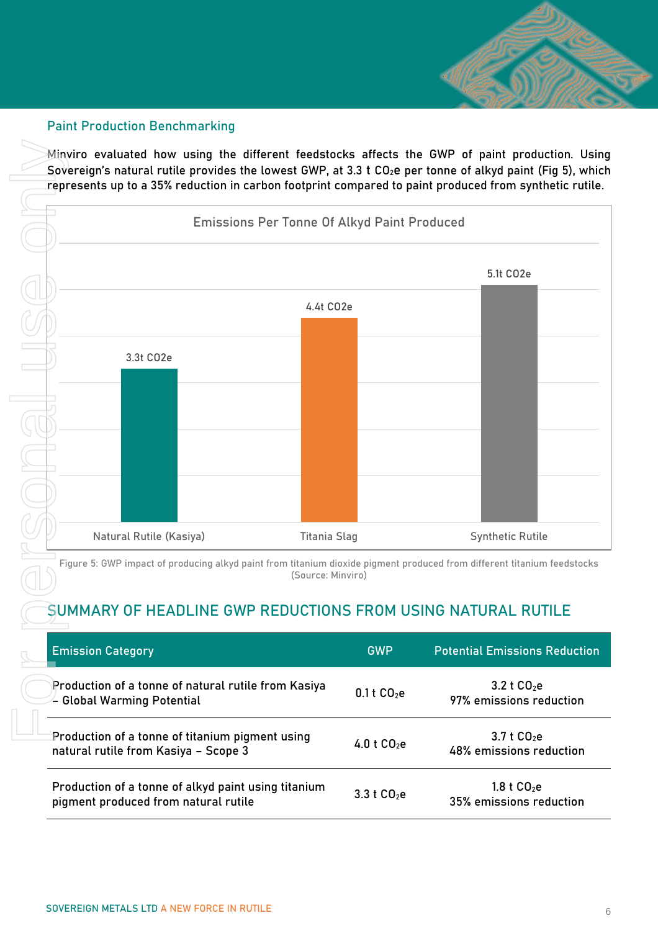

#### Paint Production Benchmarking

Minviro evaluated how using the different feedstocks affects the GWP of paint production. Using Sovereign's natural rutile provides the lowest GWP, at 3.3 t  $CO<sub>2</sub>e$  per tonne of alkyd paint (Fig 5), which represents up to a 35% reduction in carbon footprint compared to paint produced from synthetic rutile.



Figure 5: GWP impact of producing alkyd paint from titanium dioxide pigment produced from different titanium feedstocks (Source: Minviro)

# SUMMARY OF HEADLINE GWP REDUCTIONS FROM USING NATURAL RUTILE

|  | <b>Emission Category</b>                                                                    | <b>GWP</b>   | <b>Potential Emissions Reduction</b>               |
|--|---------------------------------------------------------------------------------------------|--------------|----------------------------------------------------|
|  | Production of a tonne of natural rutile from Kasiya<br>← Global Warming Potential           | 0.1 t $CO2e$ | 3.2 t C0 <sub>2</sub> e<br>97% emissions reduction |
|  | Production of a tonne of titanium pigment using<br>natural rutile from Kasiya - Scope 3     | 4.0 t $CO2e$ | $3.7 \text{ t } CO_2$ e<br>48% emissions reduction |
|  | Production of a tonne of alkyd paint using titanium<br>pigment produced from natural rutile | 3.3 t $CO2e$ | 1.8 t $CO2e$<br>35% emissions reduction            |